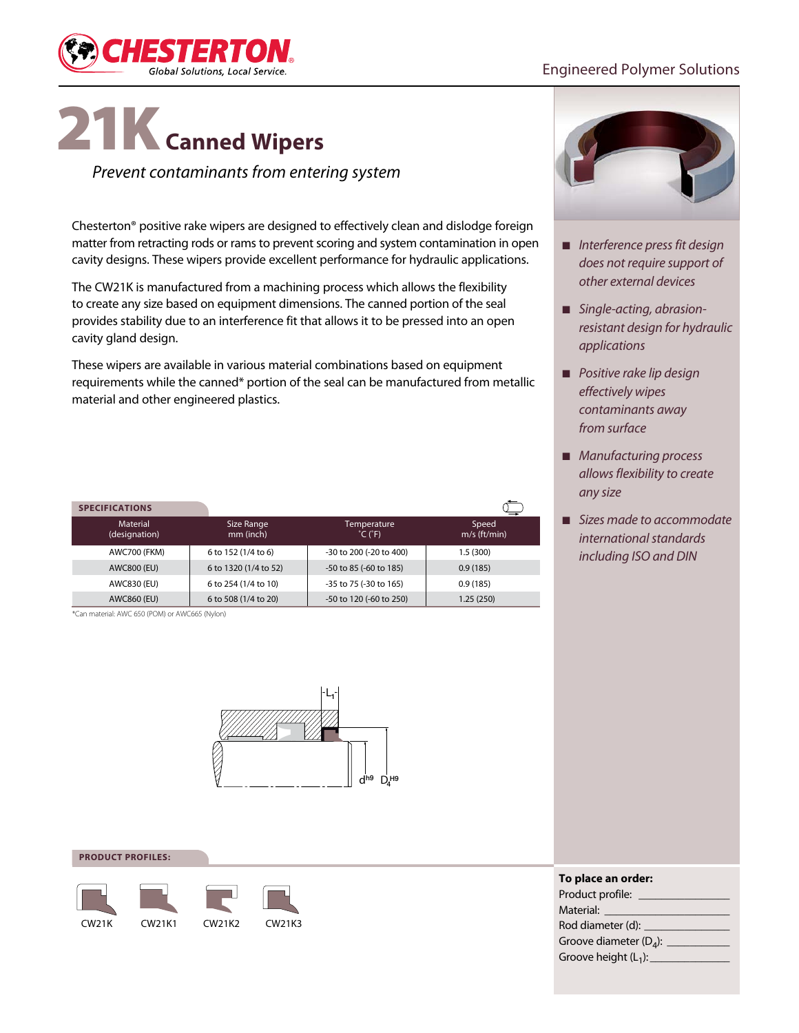

## Engineered Polymer Solutions

# 21K**Canned Wipers**

*Prevent contaminants from entering system*

Chesterton® positive rake wipers are designed to effectively clean and dislodge foreign matter from retracting rods or rams to prevent scoring and system contamination in open cavity designs. These wipers provide excellent performance for hydraulic applications.

The CW21K is manufactured from a machining process which allows the flexibility to create any size based on equipment dimensions. The canned portion of the seal provides stability due to an interference fit that allows it to be pressed into an open cavity gland design.

These wipers are available in various material combinations based on equipment requirements while the canned\* portion of the seal can be manufactured from metallic material and other engineered plastics.

| <b>SPECIFICATIONS</b>            |                         |                                             |                         |
|----------------------------------|-------------------------|---------------------------------------------|-------------------------|
| <b>Material</b><br>(designation) | Size Range<br>mm (inch) | Temperature<br>$^{\circ}$ C ( $^{\circ}$ F) | Speed<br>$m/s$ (ft/min) |
| <b>AWC700 (FKM)</b>              | 6 to 152 (1/4 to 6)     | -30 to 200 (-20 to 400)                     | 1.5(300)                |
| AWC800 (EU)                      | 6 to 1320 (1/4 to 52)   | -50 to 85 (-60 to 185)                      | 0.9(185)                |
| AWC830 (EU)                      | 6 to 254 (1/4 to 10)    | -35 to 75 (-30 to 165)                      | 0.9(185)                |
| AWC860 (EU)                      | 6 to 508 (1/4 to 20)    | -50 to 120 (-60 to 250)                     | 1.25(250)               |

\*Can material: AWC 650 (POM) or AWC665 (Nylon)



#### **product profiles:**





- *Interference press fit design does not require support of other external devices*
- *Single-acting, abrasionresistant design for hydraulic applications*
- *Positive rake lip design effectively wipes contaminants away from surface*
- *Manufacturing process allows flexibility to create any size*
- *Sizes made to accommodate international standards including ISO and DIN*

| To place an order:        |
|---------------------------|
| Product profile: _        |
| Material: <b>Material</b> |
| Rod diameter (d): _____   |
| Groove diameter $(D_4)$ : |
| Groove height $(L_1)$ :   |
|                           |